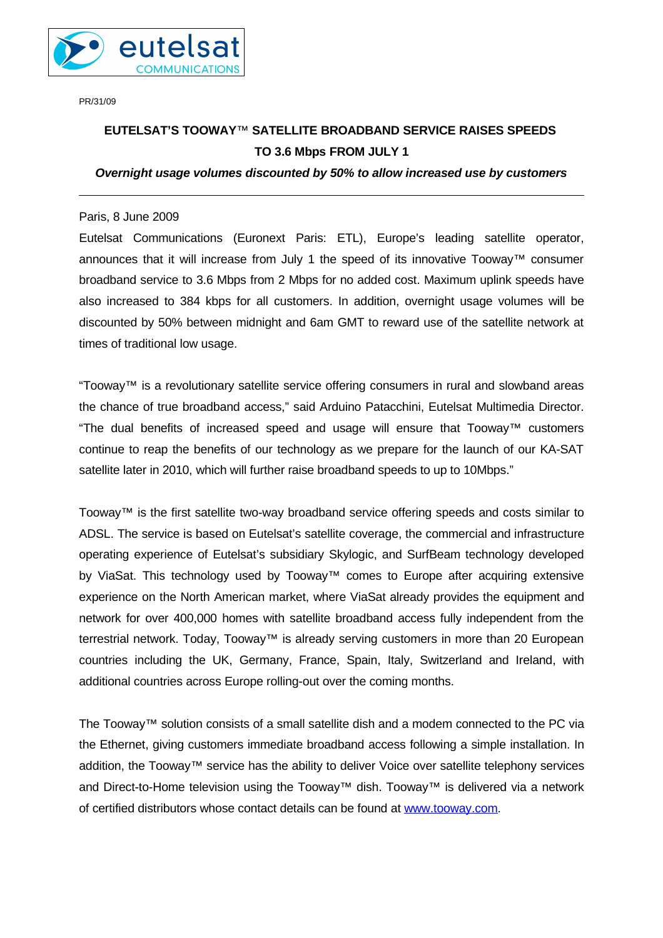

PR/31/09

# **EUTELSAT'S TOOWAY***™* **SATELLITE BROADBAND SERVICE RAISES SPEEDS TO 3.6 Mbps FROM JULY 1**

# *Overnight usage volumes discounted by 50% to allow increased use by customers*

## Paris, 8 June 2009

Eutelsat Communications (Euronext Paris: ETL), Europe's leading satellite operator, announces that it will increase from July 1 the speed of its innovative Tooway™ consumer broadband service to 3.6 Mbps from 2 Mbps for no added cost. Maximum uplink speeds have also increased to 384 kbps for all customers. In addition, overnight usage volumes will be discounted by 50% between midnight and 6am GMT to reward use of the satellite network at times of traditional low usage.

"Tooway™ is a revolutionary satellite service offering consumers in rural and slowband areas the chance of true broadband access," said Arduino Patacchini, Eutelsat Multimedia Director. "The dual benefits of increased speed and usage will ensure that Tooway™ customers continue to reap the benefits of our technology as we prepare for the launch of our KA-SAT satellite later in 2010, which will further raise broadband speeds to up to 10Mbps."

Tooway™ is the first satellite two-way broadband service offering speeds and costs similar to ADSL. The service is based on Eutelsat's satellite coverage, the commercial and infrastructure operating experience of Eutelsat's subsidiary Skylogic, and SurfBeam technology developed by ViaSat. This technology used by Tooway™ comes to Europe after acquiring extensive experience on the North American market, where ViaSat already provides the equipment and network for over 400,000 homes with satellite broadband access fully independent from the terrestrial network. Today, Tooway™ is already serving customers in more than 20 European countries including the UK, Germany, France, Spain, Italy, Switzerland and Ireland, with additional countries across Europe rolling-out over the coming months.

The Tooway™ solution consists of a small satellite dish and a modem connected to the PC via the Ethernet, giving customers immediate broadband access following a simple installation. In addition, the Tooway™ service has the ability to deliver Voice over satellite telephony services and Direct-to-Home television using the Tooway™ dish. Tooway™ is delivered via a network of certified distributors whose contact details can be found at [www.tooway.com.](http://www.tooway.com/)